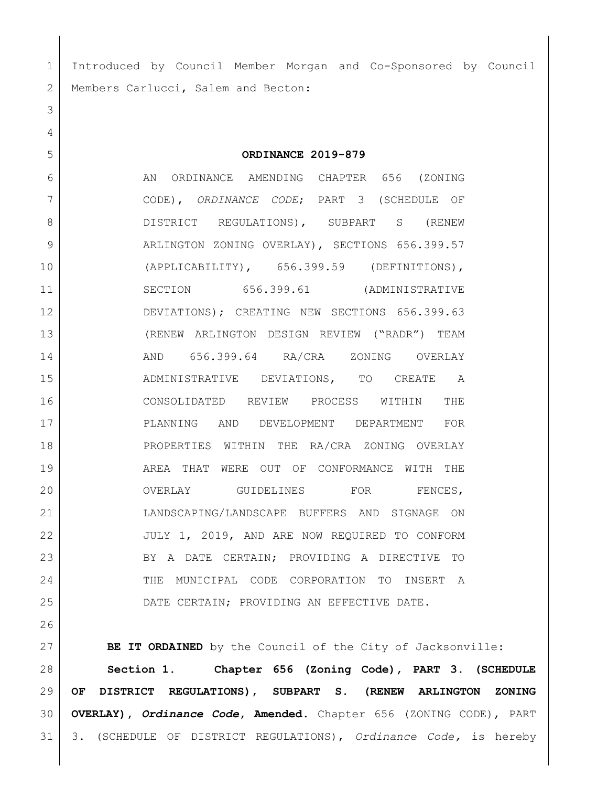Introduced by Council Member Morgan and Co-Sponsored by Council 2 | Members Carlucci, Salem and Becton:

 **ORDINANCE 2019-879** AN ORDINANCE AMENDING CHAPTER 656 (ZONING CODE), *ORDINANCE CODE*; PART 3 (SCHEDULE OF 8 DISTRICT REGULATIONS), SUBPART S (RENEW 9 ARLINGTON ZONING OVERLAY), SECTIONS 656.399.57 (APPLICABILITY), 656.399.59 (DEFINITIONS), SECTION 656.399.61 (ADMINISTRATIVE DEVIATIONS); CREATING NEW SECTIONS 656.399.63 (RENEW ARLINGTON DESIGN REVIEW ("RADR") TEAM AND 656.399.64 RA/CRA ZONING OVERLAY ADMINISTRATIVE DEVIATIONS, TO CREATE A CONSOLIDATED REVIEW PROCESS WITHIN THE PLANNING AND DEVELOPMENT DEPARTMENT FOR 18 | PROPERTIES WITHIN THE RA/CRA ZONING OVERLAY AREA THAT WERE OUT OF CONFORMANCE WITH THE 20 OVERLAY GUIDELINES FOR FENCES, LANDSCAPING/LANDSCAPE BUFFERS AND SIGNAGE ON JULY 1, 2019, AND ARE NOW REQUIRED TO CONFORM BY A DATE CERTAIN; PROVIDING A DIRECTIVE TO 24 THE MUNICIPAL CODE CORPORATION TO INSERT A DATE CERTAIN; PROVIDING AN EFFECTIVE DATE.

**BE IT ORDAINED** by the Council of the City of Jacksonville: **Section 1. Chapter 656 (Zoning Code), PART 3. (SCHEDULE OF DISTRICT REGULATIONS), SUBPART S. (RENEW ARLINGTON ZONING OVERLAY),** *Ordinance Code***, Amended.** Chapter 656 (ZONING CODE), PART 3. (SCHEDULE OF DISTRICT REGULATIONS), *Ordinance Code,* is hereby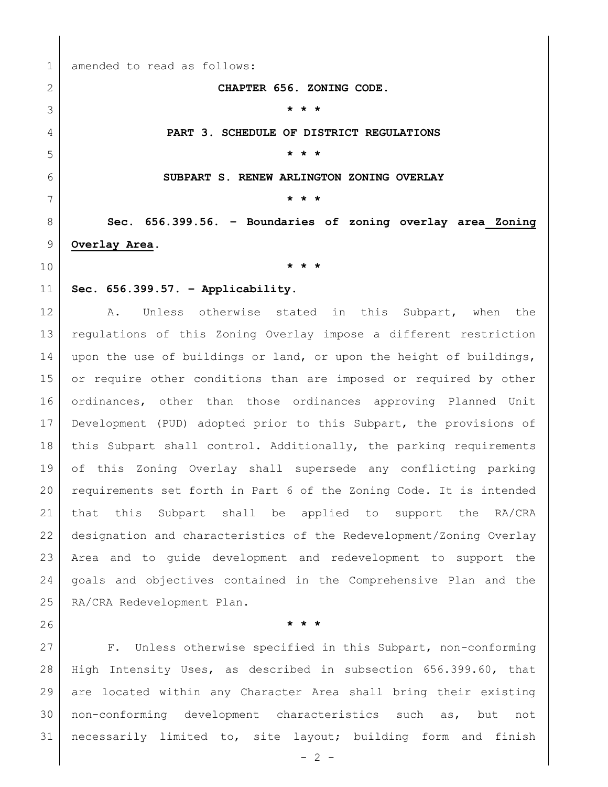amended to read as follows:

## **CHAPTER 656. ZONING CODE.**

 **\* \* \* PART 3. SCHEDULE OF DISTRICT REGULATIONS \* \* \* SUBPART S. RENEW ARLINGTON ZONING OVERLAY \* \* \* Sec. 656.399.56. – Boundaries of zoning overlay area Zoning Overlay Area. \* \* \* Sec. 656.399.57. – Applicability.** 12 | A. Unless otherwise stated in this Subpart, when the regulations of this Zoning Overlay impose a different restriction 14 upon the use of buildings or land, or upon the height of buildings, 15 or require other conditions than are imposed or required by other

 ordinances, other than those ordinances approving Planned Unit Development (PUD) adopted prior to this Subpart, the provisions of 18 | this Subpart shall control. Additionally, the parking requirements of this Zoning Overlay shall supersede any conflicting parking requirements set forth in Part 6 of the Zoning Code. It is intended that this Subpart shall be applied to support the RA/CRA designation and characteristics of the Redevelopment/Zoning Overlay Area and to guide development and redevelopment to support the goals and objectives contained in the Comprehensive Plan and the RA/CRA Redevelopment Plan.

**\* \* \***

 F. Unless otherwise specified in this Subpart, non-conforming High Intensity Uses, as described in subsection 656.399.60, that are located within any Character Area shall bring their existing non-conforming development characteristics such as, but not necessarily limited to, site layout; building form and finish

 $- 2 -$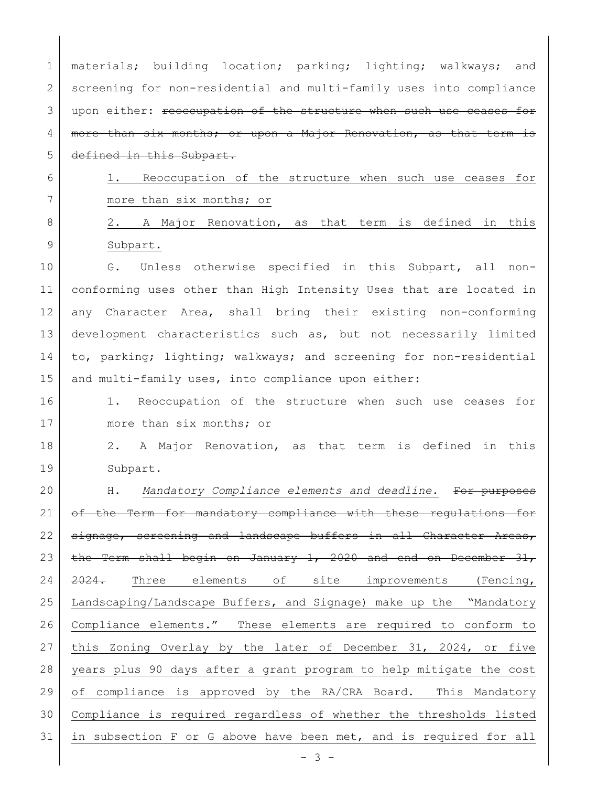1 | materials; building location; parking; lighting; walkways; and 2 screening for non-residential and multi-family uses into compliance 3 | upon either: reoccupation of the structure when such use ceases for 4 | more than six months; or upon a Major Renovation, as that term is 5 defined in this Subpart.

6 1. Reoccupation of the structure when such use ceases for 7 more than six months; or

8 2. A Major Renovation, as that term is defined in this 9 Subpart.

10 G. Unless otherwise specified in this Subpart, all non-11 conforming uses other than High Intensity Uses that are located in 12 any Character Area, shall bring their existing non-conforming 13 development characteristics such as, but not necessarily limited 14 to, parking; lighting; walkways; and screening for non-residential 15 and multi-family uses, into compliance upon either:

16 1. Reoccupation of the structure when such use ceases for 17 more than six months; or

18 2. A Major Renovation, as that term is defined in this 19 Subpart.

20 H. *Mandatory Compliance elements and deadline.* For purposes 21 of the Term for mandatory compliance with these regulations for 22 | signage, screening and landscape buffers in all Character Areas, 23 the Term shall begin on January 1, 2020 and end on December  $31$ , 24 2024. Three elements of site improvements (Fencing, 25 Landscaping/Landscape Buffers, and Signage) make up the "Mandatory 26 Compliance elements." These elements are required to conform to 27 | this Zoning Overlay by the later of December 31, 2024, or five 28 years plus 90 days after a grant program to help mitigate the cost 29 of compliance is approved by the RA/CRA Board. This Mandatory 30 Compliance is required regardless of whether the thresholds listed 31 | in subsection F or G above have been met, and is required for all

- 3 -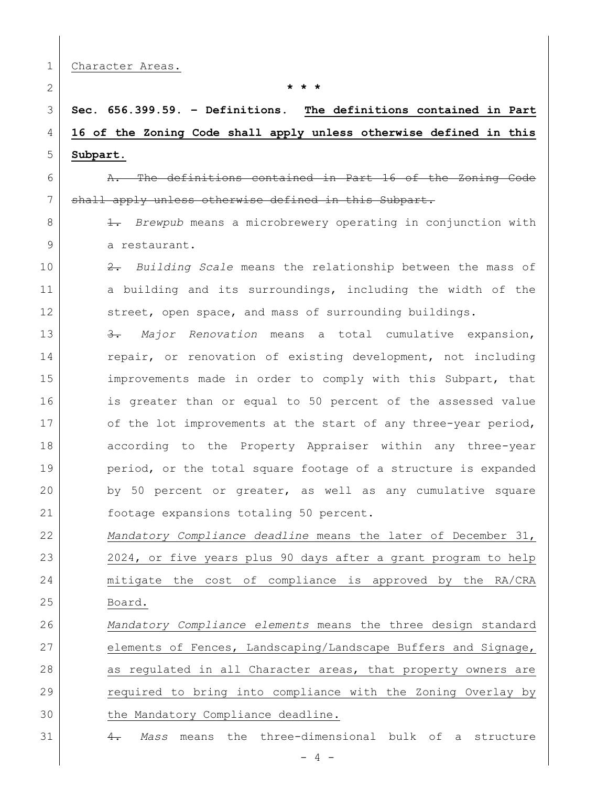|  | Character Areas. |  |
|--|------------------|--|
|--|------------------|--|

2 **\* \* \***

## 3 **Sec. 656.399.59. – Definitions. The definitions contained in Part**  4 **16 of the Zoning Code shall apply unless otherwise defined in this**  5 **Subpart.**

6 A. The definitions contained in Part 16 of the Zoning Code 7 shall apply unless otherwise defined in this Subpart.

8 1. *Brewpub* means a microbrewery operating in conjunction with 9 a restaurant.

10 2. *Building Scale* means the relationship between the mass of 11 a building and its surroundings, including the width of the 12 street, open space, and mass of surrounding buildings.

13 3. *Major Renovation* means a total cumulative expansion, 14 repair, or renovation of existing development, not including 15 improvements made in order to comply with this Subpart, that 16 is greater than or equal to 50 percent of the assessed value 17 of the lot improvements at the start of any three-year period, 18 according to the Property Appraiser within any three-year 19 period, or the total square footage of a structure is expanded 20 by 50 percent or greater, as well as any cumulative square 21 footage expansions totaling 50 percent.

 *Mandatory Compliance deadline* means the later of December 31, 2024, or five years plus 90 days after a grant program to help mitigate the cost of compliance is approved by the RA/CRA 25 Board.

26 *Mandatory Compliance elements* means the three design standard 27 elements of Fences, Landscaping/Landscape Buffers and Signage, 28 as regulated in all Character areas, that property owners are 29 required to bring into compliance with the Zoning Overlay by 30 the Mandatory Compliance deadline.

31 4. *Mass* means the three-dimensional bulk of a structure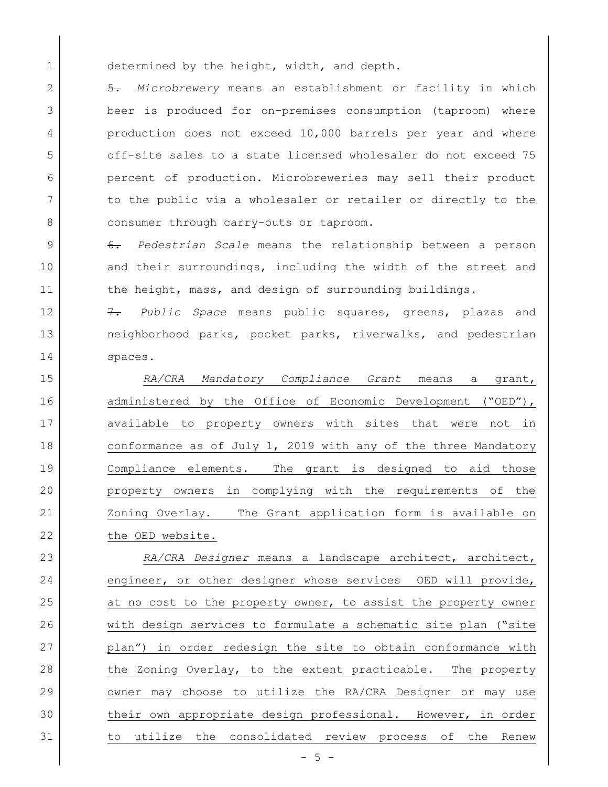1 determined by the height, width, and depth.

 5. *Microbrewery* means an establishment or facility in which beer is produced for on-premises consumption (taproom) where production does not exceed 10,000 barrels per year and where off-site sales to a state licensed wholesaler do not exceed 75 percent of production. Microbreweries may sell their product 7 to the public via a wholesaler or retailer or directly to the 8 consumer through carry-outs or taproom.

9 6. *Pedestrian Scale* means the relationship between a person 10 and their surroundings, including the width of the street and 11 the height, mass, and design of surrounding buildings.

12 7. *Public Space* means public squares, greens, plazas and 13 | neighborhood parks, pocket parks, riverwalks, and pedestrian 14 spaces.

15 *RA/CRA Mandatory Compliance Grant* means a grant, 16 administered by the Office of Economic Development ("OED"), 17 available to property owners with sites that were not in 18 conformance as of July 1, 2019 with any of the three Mandatory 19 Compliance elements. The grant is designed to aid those 20 property owners in complying with the requirements of the 21 | Zoning Overlay. The Grant application form is available on 22 the OED website.

 *RA/CRA Designer* means a landscape architect, architect, 24 engineer, or other designer whose services OED will provide, 25 at no cost to the property owner, to assist the property owner with design services to formulate a schematic site plan ("site plan") in order redesign the site to obtain conformance with 28 the Zoning Overlay, to the extent practicable. The property owner may choose to utilize the RA/CRA Designer or may use their own appropriate design professional. However, in order to utilize the consolidated review process of the Renew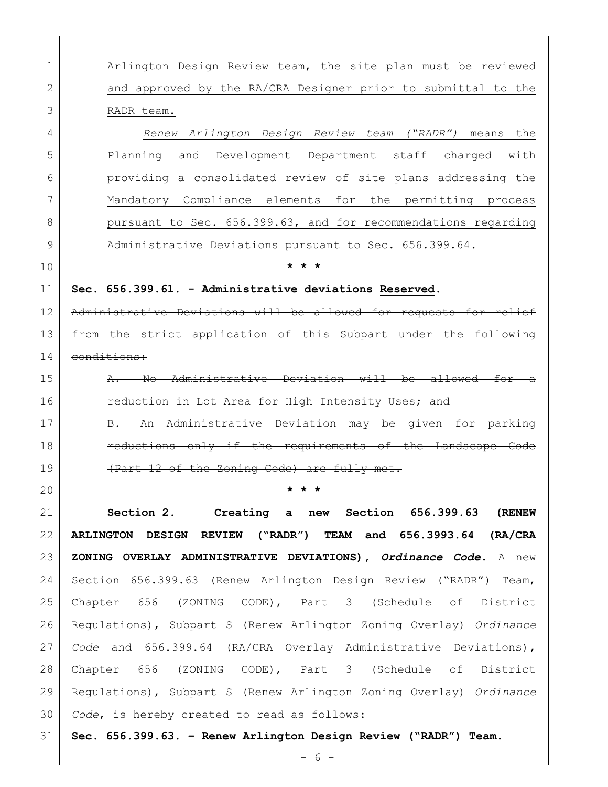1 Arlington Design Review team, the site plan must be reviewed 2 and approved by the RA/CRA Designer prior to submittal to the RADR team. *Renew Arlington Design Review team ("RADR")* means the Planning and Development Department staff charged with providing a consolidated review of site plans addressing the Mandatory Compliance elements for the permitting process 8 pursuant to Sec. 656.399.63, and for recommendations regarding 9 Administrative Deviations pursuant to Sec. 656.399.64. **\* \* \* Sec. 656.399.61. - Administrative deviations Reserved.**  12 | Administrative Deviations will be allowed for requests for relief **from the strict application of this Subpart under the following**  conditions: 15 A. No Administrative Deviation will be allowed for **reduction in Lot Area for High Intensity Uses; and** 17 B. An Administrative Deviation may be given for parking **reductions only if the requirements of the Landscape Code** 19 (Part 12 of the Zoning Code) are fully met. **\* \* \* Section 2. Creating a new Section 656.399.63 (RENEW ARLINGTON DESIGN REVIEW ("RADR") TEAM and 656.3993.64 (RA/CRA ZONING OVERLAY ADMINISTRATIVE DEVIATIONS),** *Ordinance Code***.** A new Section 656.399.63 (Renew Arlington Design Review ("RADR") Team, Chapter 656 (ZONING CODE), Part 3 (Schedule of District Regulations), Subpart S (Renew Arlington Zoning Overlay) *Ordinance Code* and 656.399.64 (RA/CRA Overlay Administrative Deviations), Chapter 656 (ZONING CODE), Part 3 (Schedule of District Regulations), Subpart S (Renew Arlington Zoning Overlay) *Ordinance Code*, is hereby created to read as follows: **Sec. 656.399.63. – Renew Arlington Design Review ("RADR") Team.**

- 6 -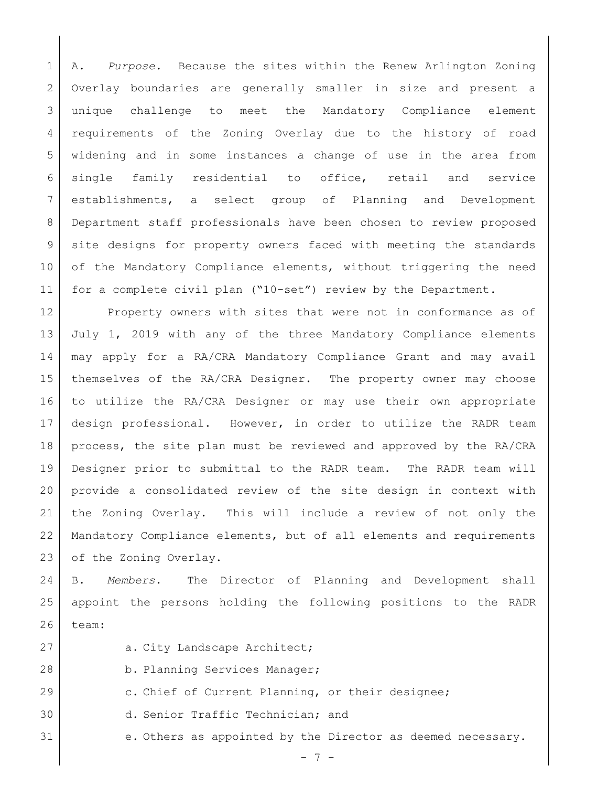A. *Purpose.* Because the sites within the Renew Arlington Zoning Overlay boundaries are generally smaller in size and present a unique challenge to meet the Mandatory Compliance element requirements of the Zoning Overlay due to the history of road widening and in some instances a change of use in the area from single family residential to office, retail and service establishments, a select group of Planning and Development Department staff professionals have been chosen to review proposed site designs for property owners faced with meeting the standards 10 of the Mandatory Compliance elements, without triggering the need for a complete civil plan ("10-set") review by the Department.

12 Property owners with sites that were not in conformance as of 13 July 1, 2019 with any of the three Mandatory Compliance elements may apply for a RA/CRA Mandatory Compliance Grant and may avail themselves of the RA/CRA Designer. The property owner may choose to utilize the RA/CRA Designer or may use their own appropriate design professional. However, in order to utilize the RADR team process, the site plan must be reviewed and approved by the RA/CRA Designer prior to submittal to the RADR team. The RADR team will provide a consolidated review of the site design in context with the Zoning Overlay. This will include a review of not only the Mandatory Compliance elements, but of all elements and requirements 23 of the Zoning Overlay.

 B. *Members*. The Director of Planning and Development shall appoint the persons holding the following positions to the RADR team:

- 
- 27 a. City Landscape Architect;
- 28 b. Planning Services Manager;
- 29 c. Chief of Current Planning, or their designee;
- d. Senior Traffic Technician; and
- e. Others as appointed by the Director as deemed necessary.

- 7 -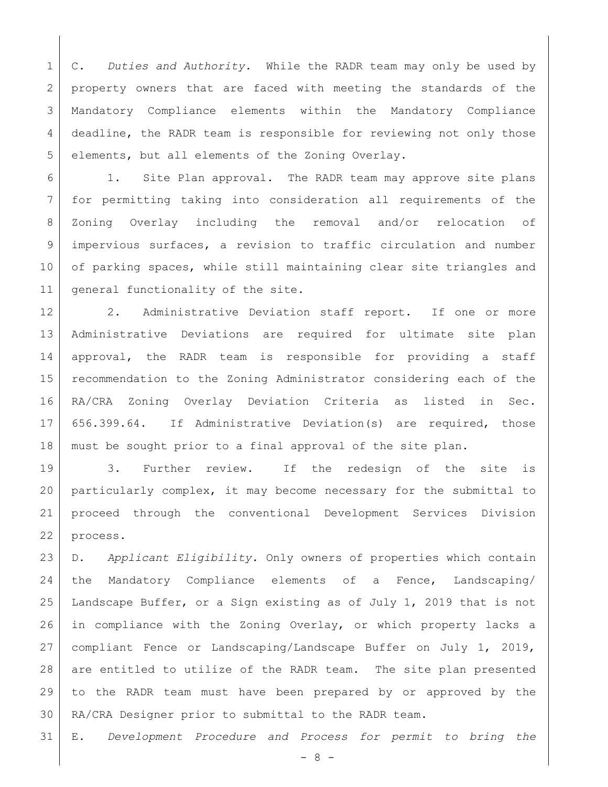C. *Duties and Authority.* While the RADR team may only be used by 2 property owners that are faced with meeting the standards of the Mandatory Compliance elements within the Mandatory Compliance 4 deadline, the RADR team is responsible for reviewing not only those elements, but all elements of the Zoning Overlay.

 1. Site Plan approval. The RADR team may approve site plans for permitting taking into consideration all requirements of the Zoning Overlay including the removal and/or relocation of impervious surfaces, a revision to traffic circulation and number 10 of parking spaces, while still maintaining clear site triangles and 11 | general functionality of the site.

12 | 2. Administrative Deviation staff report. If one or more Administrative Deviations are required for ultimate site plan approval, the RADR team is responsible for providing a staff recommendation to the Zoning Administrator considering each of the RA/CRA Zoning Overlay Deviation Criteria as listed in Sec. 656.399.64. If Administrative Deviation(s) are required, those must be sought prior to a final approval of the site plan.

 3. Further review. If the redesign of the site is particularly complex, it may become necessary for the submittal to proceed through the conventional Development Services Division process.

 D. *Applicant Eligibility.* Only owners of properties which contain the Mandatory Compliance elements of a Fence, Landscaping/ Landscape Buffer, or a Sign existing as of July 1, 2019 that is not in compliance with the Zoning Overlay, or which property lacks a compliant Fence or Landscaping/Landscape Buffer on July 1, 2019, 28 are entitled to utilize of the RADR team. The site plan presented to the RADR team must have been prepared by or approved by the RA/CRA Designer prior to submittal to the RADR team.

E. *Development Procedure and Process for permit to bring the* 

- 8 -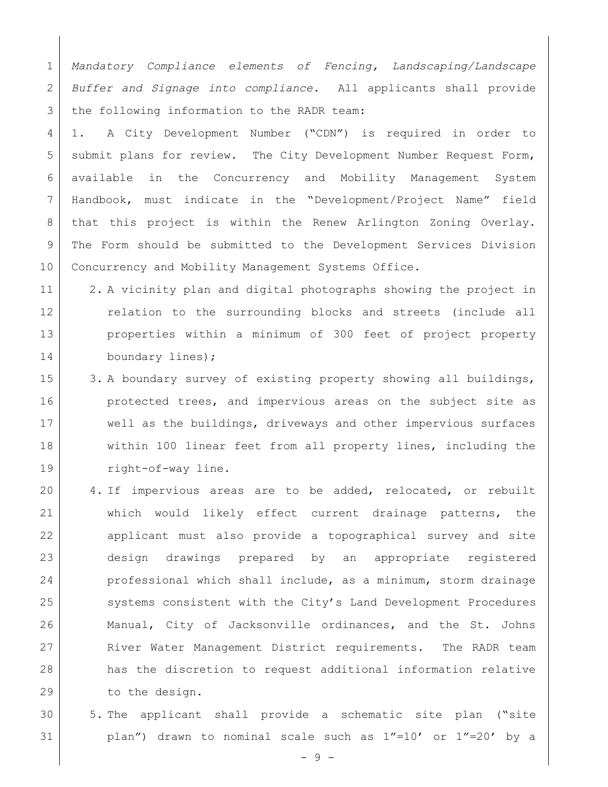1 *Mandatory Compliance elements of Fencing, Landscaping/Landscape*  2 *Buffer and Signage into compliance*. All applicants shall provide 3 the following information to the RADR team:

 1. A City Development Number ("CDN") is required in order to 5 | submit plans for review. The City Development Number Request Form, available in the Concurrency and Mobility Management System Handbook, must indicate in the "Development/Project Name" field that this project is within the Renew Arlington Zoning Overlay. The Form should be submitted to the Development Services Division 10 Concurrency and Mobility Management Systems Office.

- 11 2. A vicinity plan and digital photographs showing the project in 12 relation to the surrounding blocks and streets (include all 13 properties within a minimum of 300 feet of project property 14 boundary lines);
- 15 3. A boundary survey of existing property showing all buildings, 16 **protected trees, and impervious areas on the subject site as** 17 well as the buildings, driveways and other impervious surfaces 18 within 100 linear feet from all property lines, including the 19 right-of-way line.
- 20 4. If impervious areas are to be added, relocated, or rebuilt 21 which would likely effect current drainage patterns, the 22 applicant must also provide a topographical survey and site 23 design drawings prepared by an appropriate registered 24 professional which shall include, as a minimum, storm drainage 25 systems consistent with the City's Land Development Procedures 26 Manual, City of Jacksonville ordinances, and the St. Johns 27 River Water Management District requirements. The RADR team 28 has the discretion to request additional information relative 29 to the design.
- 30 5. The applicant shall provide a schematic site plan ("site 31 plan") drawn to nominal scale such as 1"=10' or 1"=20' by a

- 9 -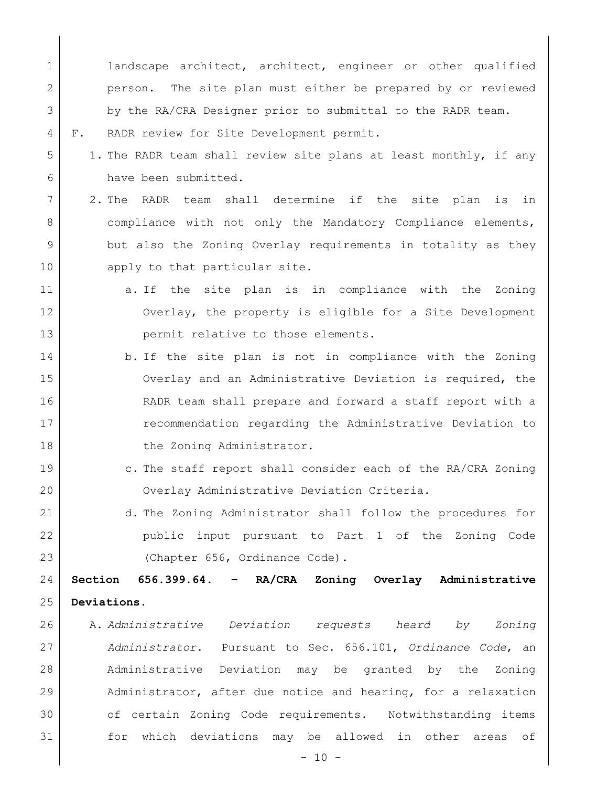1 landscape architect, architect, engineer or other qualified person. The site plan must either be prepared by or reviewed by the RA/CRA Designer prior to submittal to the RADR team. F. RADR review for Site Development permit.

- 5 1. The RADR team shall review site plans at least monthly, if any have been submitted.
- 2. The RADR team shall determine if the site plan is in 8 | compliance with not only the Mandatory Compliance elements, but also the Zoning Overlay requirements in totality as they 10 apply to that particular site.
- a. If the site plan is in compliance with the Zoning Overlay, the property is eligible for a Site Development 13 permit relative to those elements.
- 14 b. If the site plan is not in compliance with the Zoning Overlay and an Administrative Deviation is required, the RADR team shall prepare and forward a staff report with a **example 17** recommendation regarding the Administrative Deviation to 18 the Zoning Administrator.
- 19 c. The staff report shall consider each of the RA/CRA Zoning Overlay Administrative Deviation Criteria.
- d. The Zoning Administrator shall follow the procedures for public input pursuant to Part 1 of the Zoning Code 23 (Chapter 656, Ordinance Code).

 **Section 656.399.64. – RA/CRA Zoning Overlay Administrative Deviations.** 

 A. *Administrative Deviation requests heard by Zoning Administrator*. Pursuant to Sec. 656.101, *Ordinance Code*, an Administrative Deviation may be granted by the Zoning Administrator, after due notice and hearing, for a relaxation 30 of certain Zoning Code requirements. Notwithstanding items for which deviations may be allowed in other areas of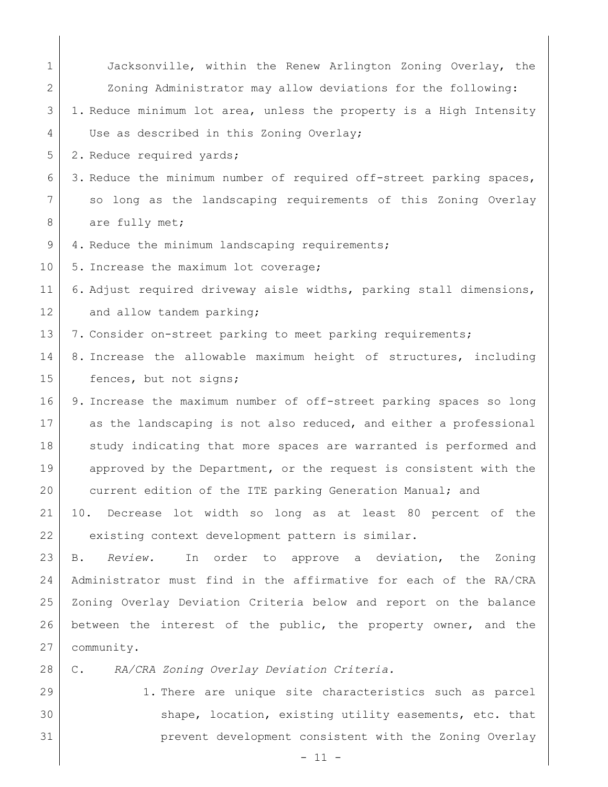| $\mathbf{1}$ | Jacksonville, within the Renew Arlington Zoning Overlay, the        |
|--------------|---------------------------------------------------------------------|
| 2            | Zoning Administrator may allow deviations for the following:        |
| 3            | 1. Reduce minimum lot area, unless the property is a High Intensity |
| 4            | Use as described in this Zoning Overlay;                            |
| 5            | 2. Reduce required yards;                                           |
| 6            | 3. Reduce the minimum number of required off-street parking spaces, |
| 7            | so long as the landscaping requirements of this Zoning Overlay      |
| 8            | are fully met;                                                      |
| 9            | 4. Reduce the minimum landscaping requirements;                     |
| 10           | 5. Increase the maximum lot coverage;                               |
| 11           | 6. Adjust required driveway aisle widths, parking stall dimensions, |
| 12           | and allow tandem parking;                                           |
| 13           | 7. Consider on-street parking to meet parking requirements;         |
| 14           | 8. Increase the allowable maximum height of structures, including   |
| 15           | fences, but not signs;                                              |
| 16           | 9. Increase the maximum number of off-street parking spaces so long |
| 17           | as the landscaping is not also reduced, and either a professional   |
| 18           | study indicating that more spaces are warranted is performed and    |
| 19           | approved by the Department, or the request is consistent with the   |
| 20           | current edition of the ITE parking Generation Manual; and           |
| 21           | 10. Decrease lot width so long as at least 80 percent of the        |
| 22           | existing context development pattern is similar.                    |
| 23           | Review.<br>In order to approve a deviation, the Zoning<br>B.        |
| 24           | Administrator must find in the affirmative for each of the RA/CRA   |
| 25           | Zoning Overlay Deviation Criteria below and report on the balance   |
| 26           | between the interest of the public, the property owner, and the     |
| 27           | community.                                                          |
| 28           | RA/CRA Zoning Overlay Deviation Criteria.<br>$\mathbb{C}$ .         |
| 29           | 1. There are unique site characteristics such as parcel             |
| 30           | shape, location, existing utility easements, etc. that              |

prevent development consistent with the Zoning Overlay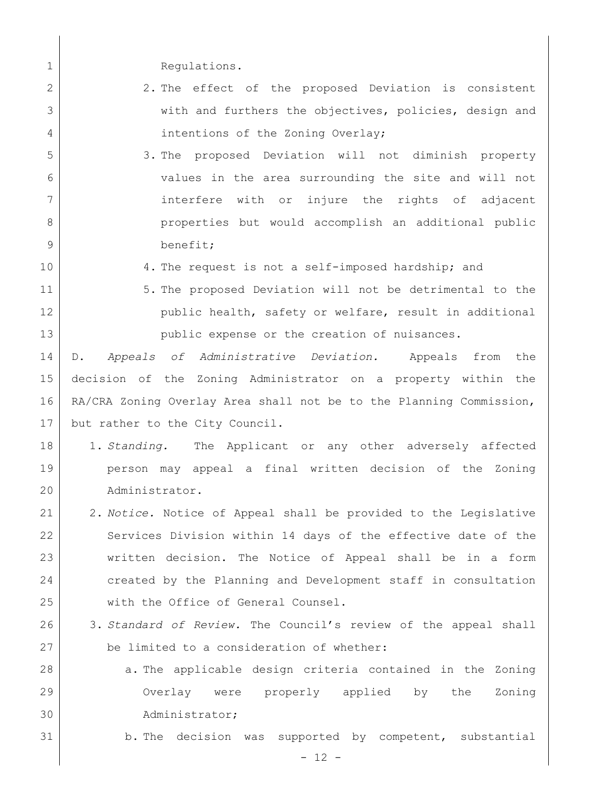- 1 Regulations.
- 2 2. The effect of the proposed Deviation is consistent 3 with and furthers the objectives, policies, design and 4 intentions of the Zoning Overlay;
- 5 3. The proposed Deviation will not diminish property 6 values in the area surrounding the site and will not 7 | interfere with or injure the rights of adjacent 8 | properties but would accomplish an additional public 9 benefit;
- 
- 10 4. The request is not a self-imposed hardship; and
- 11 | 5. The proposed Deviation will not be detrimental to the 12 public health, safety or welfare, result in additional 13 public expense or the creation of nuisances.

 D. *Appeals of Administrative Deviation.* Appeals from the decision of the Zoning Administrator on a property within the RA/CRA Zoning Overlay Area shall not be to the Planning Commission, but rather to the City Council.

- 18 1. *Standing.* The Applicant or any other adversely affected 19 person may appeal a final written decision of the Zoning 20 Administrator.
- 21 2. *Notice.* Notice of Appeal shall be provided to the Legislative 22 Services Division within 14 days of the effective date of the 23 written decision. The Notice of Appeal shall be in a form 24 created by the Planning and Development staff in consultation 25 with the Office of General Counsel.
- 26 3. *Standard of Review.* The Council's review of the appeal shall 27 be limited to a consideration of whether:
- 28 a. The applicable design criteria contained in the Zoning 29 Overlay were properly applied by the Zoning 30 Administrator;
- 31 b. The decision was supported by competent, substantial

 $- 12 -$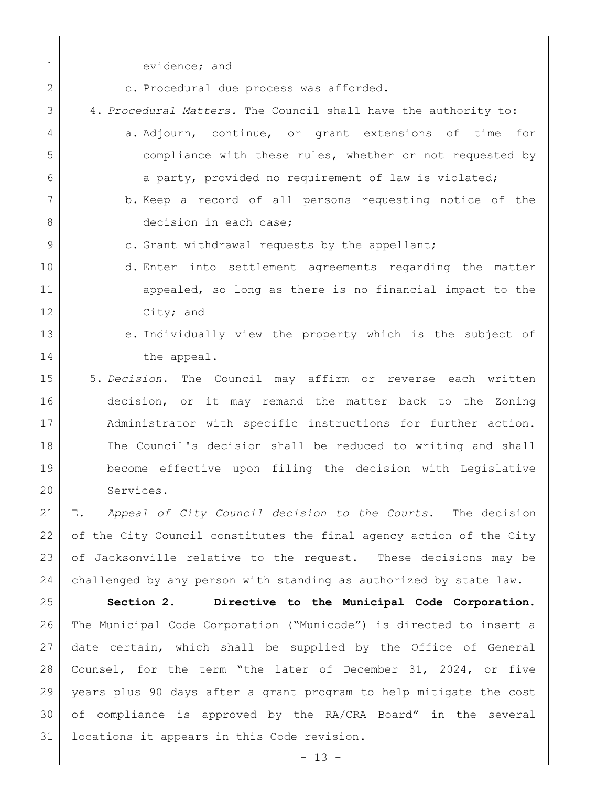| $\mathbf 1$    | evidence; and                                                                |
|----------------|------------------------------------------------------------------------------|
| $\overline{2}$ | c. Procedural due process was afforded.                                      |
| 3              | 4. Procedural Matters. The Council shall have the authority to:              |
| 4              | a. Adjourn, continue, or grant extensions of time for                        |
| 5              | compliance with these rules, whether or not requested by                     |
| 6              | a party, provided no requirement of law is violated;                         |
| 7              | b. Keep a record of all persons requesting notice of the                     |
| 8              | decision in each case;                                                       |
| 9              | c. Grant withdrawal requests by the appellant;                               |
| 10             | d. Enter into settlement agreements regarding the matter                     |
| 11             | appealed, so long as there is no financial impact to the                     |
| 12             | City; and                                                                    |
| 13             | e. Individually view the property which is the subject of                    |
| 14             | the appeal.                                                                  |
| 15             | 5. Decision. The Council may affirm or<br>reverse each written               |
| 16             | decision, or it may remand the matter back to the Zoning                     |
| 17             | Administrator with specific instructions for further action.                 |
| 18             | The Council's decision shall be reduced to writing and shall                 |
| 19             | become effective upon filing the decision with Legislative                   |
| 20             | Services.                                                                    |
| 21             | Appeal of City Council decision to the Courts. The decision<br>$E_{\bullet}$ |
| 22             | of the City Council constitutes the final agency action of the City          |
| 23             | of Jacksonville relative to the request. These decisions may be              |
| 24             | challenged by any person with standing as authorized by state law.           |
| 25             | Section 2.<br>Directive to the Municipal Code Corporation.                   |
| 26             | The Municipal Code Corporation ("Municode") is directed to insert a          |
| 27             | date certain, which shall be supplied by the Office of General               |
| 28             | Counsel, for the term "the later of December 31, 2024, or five               |
|                |                                                                              |

 years plus 90 days after a grant program to help mitigate the cost of compliance is approved by the RA/CRA Board" in the several locations it appears in this Code revision.

 $- 13 -$